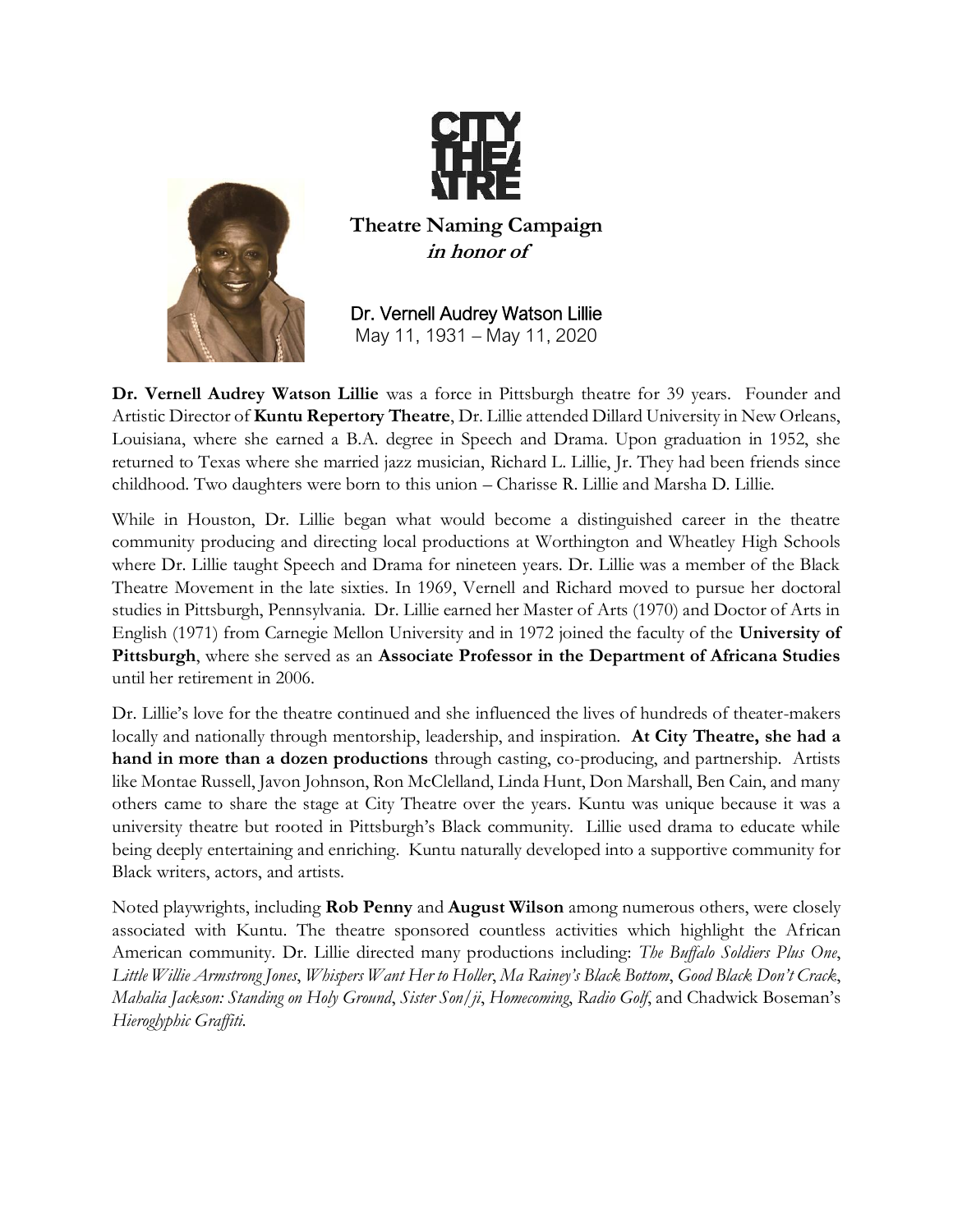



**Theatre Naming Campaign in honor of**

Dr. Vernell Audrey Watson Lillie May 11, 1931 – May 11, 2020

**Dr. Vernell Audrey Watson Lillie** was a force in Pittsburgh theatre for 39 years. Founder and Artistic Director of **Kuntu Repertory Theatre**, Dr. Lillie attended Dillard University in New Orleans, Louisiana, where she earned a B.A. degree in Speech and Drama. Upon graduation in 1952, she returned to Texas where she married jazz musician, Richard L. Lillie, Jr. They had been friends since childhood. Two daughters were born to this union – Charisse R. Lillie and Marsha D. Lillie.

While in Houston, Dr. Lillie began what would become a distinguished career in the theatre community producing and directing local productions at Worthington and Wheatley High Schools where Dr. Lillie taught Speech and Drama for nineteen years. Dr. Lillie was a member of the Black Theatre Movement in the late sixties. In 1969, Vernell and Richard moved to pursue her doctoral studies in Pittsburgh, Pennsylvania. Dr. Lillie earned her Master of Arts (1970) and Doctor of Arts in English (1971) from Carnegie Mellon University and in 1972 joined the faculty of the **University of Pittsburgh**, where she served as an **Associate Professor in the Department of Africana Studies** until her retirement in 2006.

Dr. Lillie's love for the theatre continued and she influenced the lives of hundreds of theater-makers locally and nationally through mentorship, leadership, and inspiration. **At City Theatre, she had a hand in more than a dozen productions** through casting, co-producing, and partnership. Artists like Montae Russell, Javon Johnson, Ron McClelland, Linda Hunt, Don Marshall, Ben Cain, and many others came to share the stage at City Theatre over the years. Kuntu was unique because it was a university theatre but rooted in Pittsburgh's Black community. Lillie used drama to educate while being deeply entertaining and enriching. Kuntu naturally developed into a supportive community for Black writers, actors, and artists.

Noted playwrights, including **Rob Penny** and **August Wilson** among numerous others, were closely associated with Kuntu. The theatre sponsored countless activities which highlight the African American community. Dr. Lillie directed many productions including: *The Buffalo Soldiers Plus One*, *Little Willie Armstrong Jones*, *Whispers Want Her to Holler*, *Ma Rainey's Black Bottom*, *Good Black Don't Crack*, *Mahalia Jackson: Standing on Holy Ground*, *Sister Son/ji*, *Homecoming*, *Radio Golf*, and Chadwick Boseman's *Hieroglyphic Graffiti*.